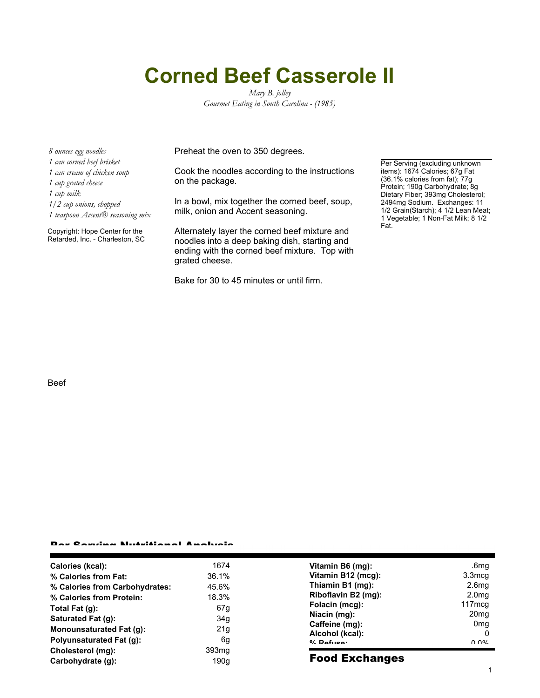## **Corned Beef Casserole II**

*Mary B. jolley Gourmet Eating in South Carolina - (1985)*

*8 ounces egg noodles 1 can corned beef brisket 1 can cream of chicken soup 1 cup grated cheese 1 cup milk 1/2 cup onions, chopped 1 teaspoon Accent® seasoning mix*

Copyright: Hope Center for the Retarded, Inc. - Charleston, SC Preheat the oven to 350 degrees.

Cook the noodles according to the instructions on the package.

In a bowl, mix together the corned beef, soup, milk, onion and Accent seasoning.

Alternately layer the corned beef mixture and noodles into a deep baking dish, starting and ending with the corned beef mixture. Top with grated cheese.

Bake for 30 to 45 minutes or until firm.

Per Serving (excluding unknown items): 1674 Calories; 67g Fat (36.1% calories from fat); 77g Protein; 190g Carbohydrate; 8g Dietary Fiber; 393mg Cholesterol; 2494mg Sodium. Exchanges: 11 1/2 Grain(Starch); 4 1/2 Lean Meat; 1 Vegetable; 1 Non-Fat Milk; 8 1/2 Fat.

## Beef

## Per Serving Nutritional Analysis

| Calories (kcal):                | 1674              | Vitamin B6 (mg):                  | .6mq                  |
|---------------------------------|-------------------|-----------------------------------|-----------------------|
| % Calories from Fat:            | 36.1%             | Vitamin B12 (mcg):                | 3.3 <sub>mcg</sub>    |
| % Calories from Carbohydrates:  | 45.6%             | Thiamin B1 (mg):                  | 2.6 <sub>mq</sub>     |
| % Calories from Protein:        | 18.3%             | Riboflavin B2 (mg):               | 2.0 <sub>mg</sub>     |
| Total Fat $(g)$ :               | 67g               | Folacin (mcg):                    | 117 <sub>mcg</sub>    |
| Saturated Fat (g):              | 34 <sub>g</sub>   | Niacin (mg):                      | 20 <sub>mg</sub>      |
| <b>Monounsaturated Fat (g):</b> | 21g               | Caffeine (mg):<br>Alcohol (kcal): | 0 <sub>mg</sub><br>-0 |
| Polyunsaturated Fat (q):        | 6g                | $0/2$ Pofileo:                    | $\Omega$ $\Omega$ %   |
| Cholesterol (mg):               | 393 <sub>mg</sub> |                                   |                       |
| Carbohydrate (g):               | 190q              | <b>Food Exchanges</b>             |                       |